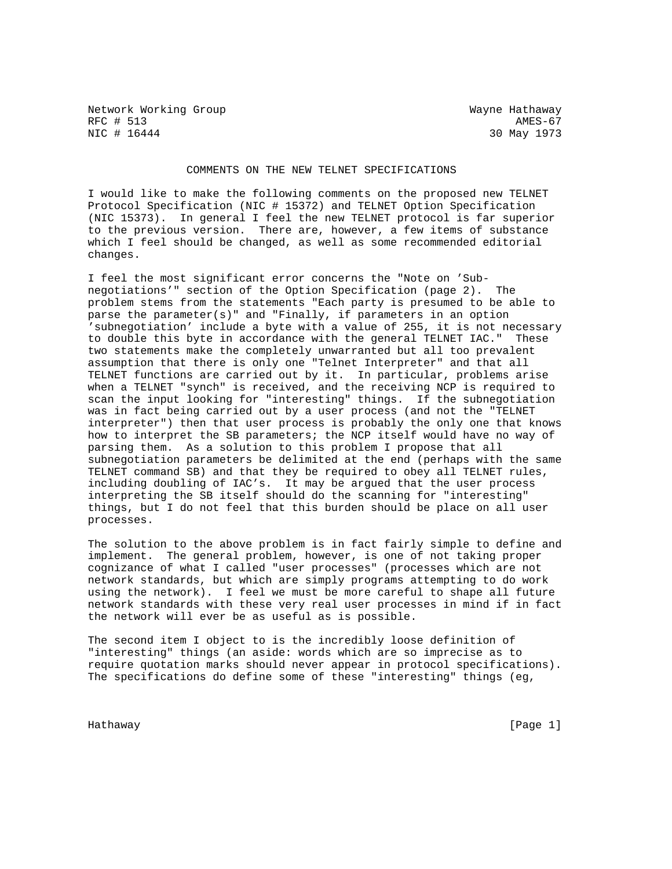Network Working Group Wayne Hathaway RFC # 513 AMES-67<br>NIC # 16444 2007 AMES-67 AMES-67

30 May 1973

## COMMENTS ON THE NEW TELNET SPECIFICATIONS

I would like to make the following comments on the proposed new TELNET Protocol Specification (NIC # 15372) and TELNET Option Specification (NIC 15373). In general I feel the new TELNET protocol is far superior to the previous version. There are, however, a few items of substance which I feel should be changed, as well as some recommended editorial changes.

I feel the most significant error concerns the "Note on 'Subnegotiations'" section of the Option Specification (page 2). The problem stems from the statements "Each party is presumed to be able to parse the parameter(s)" and "Finally, if parameters in an option 'subnegotiation' include a byte with a value of 255, it is not necessary to double this byte in accordance with the general TELNET IAC." These two statements make the completely unwarranted but all too prevalent assumption that there is only one "Telnet Interpreter" and that all TELNET functions are carried out by it. In particular, problems arise when a TELNET "synch" is received, and the receiving NCP is required to scan the input looking for "interesting" things. If the subnegotiation was in fact being carried out by a user process (and not the "TELNET interpreter") then that user process is probably the only one that knows how to interpret the SB parameters; the NCP itself would have no way of parsing them. As a solution to this problem I propose that all subnegotiation parameters be delimited at the end (perhaps with the same TELNET command SB) and that they be required to obey all TELNET rules, including doubling of IAC's. It may be argued that the user process interpreting the SB itself should do the scanning for "interesting" things, but I do not feel that this burden should be place on all user processes.

The solution to the above problem is in fact fairly simple to define and implement. The general problem, however, is one of not taking proper cognizance of what I called "user processes" (processes which are not network standards, but which are simply programs attempting to do work using the network). I feel we must be more careful to shape all future network standards with these very real user processes in mind if in fact the network will ever be as useful as is possible.

The second item I object to is the incredibly loose definition of "interesting" things (an aside: words which are so imprecise as to require quotation marks should never appear in protocol specifications). The specifications do define some of these "interesting" things (eg,

Hathaway [Page 1]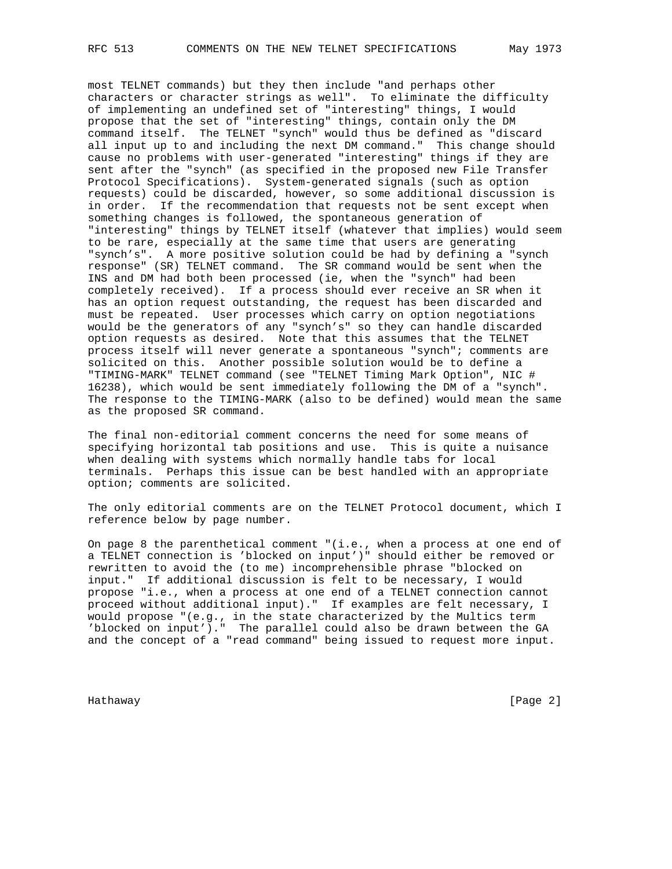most TELNET commands) but they then include "and perhaps other characters or character strings as well". To eliminate the difficulty of implementing an undefined set of "interesting" things, I would propose that the set of "interesting" things, contain only the DM command itself. The TELNET "synch" would thus be defined as "discard all input up to and including the next DM command." This change should cause no problems with user-generated "interesting" things if they are sent after the "synch" (as specified in the proposed new File Transfer Protocol Specifications). System-generated signals (such as option requests) could be discarded, however, so some additional discussion is in order. If the recommendation that requests not be sent except when something changes is followed, the spontaneous generation of "interesting" things by TELNET itself (whatever that implies) would seem to be rare, especially at the same time that users are generating "synch's". A more positive solution could be had by defining a "synch response" (SR) TELNET command. The SR command would be sent when the INS and DM had both been processed (ie, when the "synch" had been completely received). If a process should ever receive an SR when it has an option request outstanding, the request has been discarded and must be repeated. User processes which carry on option negotiations would be the generators of any "synch's" so they can handle discarded option requests as desired. Note that this assumes that the TELNET process itself will never generate a spontaneous "synch"; comments are solicited on this. Another possible solution would be to define a "TIMING-MARK" TELNET command (see "TELNET Timing Mark Option", NIC # 16238), which would be sent immediately following the DM of a "synch". The response to the TIMING-MARK (also to be defined) would mean the same as the proposed SR command.

The final non-editorial comment concerns the need for some means of specifying horizontal tab positions and use. This is quite a nuisance when dealing with systems which normally handle tabs for local terminals. Perhaps this issue can be best handled with an appropriate option; comments are solicited.

The only editorial comments are on the TELNET Protocol document, which I reference below by page number.

On page 8 the parenthetical comment "(i.e., when a process at one end of a TELNET connection is 'blocked on input')" should either be removed or rewritten to avoid the (to me) incomprehensible phrase "blocked on input." If additional discussion is felt to be necessary, I would propose "i.e., when a process at one end of a TELNET connection cannot proceed without additional input)." If examples are felt necessary, I would propose "(e.g., in the state characterized by the Multics term 'blocked on input')." The parallel could also be drawn between the GA and the concept of a "read command" being issued to request more input.

Hathaway [Page 2]